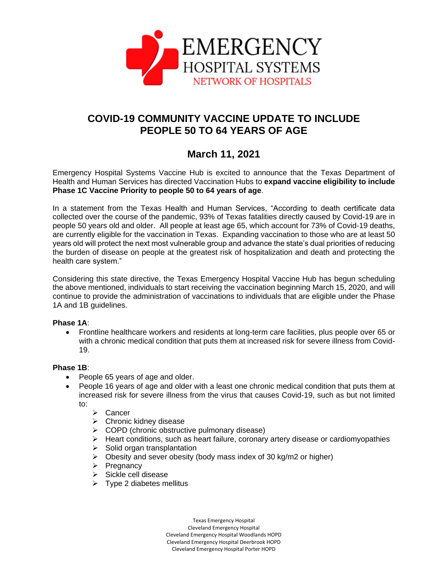

# **COVID-19 COMMUNITY VACCINE UPDATE TO INCLUDE PEOPLE 50 TO 64 YEARS OF AGE**

## **March 11, 2021**

Emergency Hospital Systems Vaccine Hub is excited to announce that the Texas Department of Health and Human Services has directed Vaccination Hubs to **expand vaccine eligibility to include Phase 1C Vaccine Priority to people 50 to 64 years of age**.

In a statement from the Texas Health and Human Services, "According to death certificate data collected over the course of the pandemic, 93% of Texas fatalities directly caused by Covid-19 are in people 50 years old and older. All people at least age 65, which account for 73% of Covid-19 deaths, are currently eligible for the vaccination in Texas. Expanding vaccination to those who are at least 50 years old will protect the next most vulnerable group and advance the state's dual priorities of reducing the burden of disease on people at the greatest risk of hospitalization and death and protecting the health care system."

Considering this state directive, the Texas Emergency Hospital Vaccine Hub has begun scheduling the above mentioned, individuals to start receiving the vaccination beginning March 15, 2020, and will continue to provide the administration of vaccinations to individuals that are eligible under the Phase 1A and 1B guidelines.

#### **Phase 1A**:

 Frontline healthcare workers and residents at long-term care facilities, plus people over 65 or with a chronic medical condition that puts them at increased risk for severe illness from Covid-19.

#### **Phase 1B**:

- People 65 years of age and older.
- People 16 years of age and older with a least one chronic medical condition that puts them at increased risk for severe illness from the virus that causes Covid-19, such as but not limited to:
	- > Cancer
	- $\triangleright$  Chronic kidney disease
	- $\triangleright$  COPD (chronic obstructive pulmonary disease)
	- $\triangleright$  Heart conditions, such as heart failure, coronary artery disease or cardiomyopathies
	- $\triangleright$  Solid organ transplantation
	- $\triangleright$  Obesity and sever obesity (body mass index of 30 kg/m2 or higher)
	- $\triangleright$  Pregnancy
	- $\triangleright$  Sickle cell disease
	- $\triangleright$  Type 2 diabetes mellitus

Texas Emergency Hospital Cleveland Emergency Hospital Cleveland Emergency Hospital Woodlands HOPD Cleveland Emergency Hospital Deerbrook HOPD Cleveland Emergency Hospital Porter HOPD